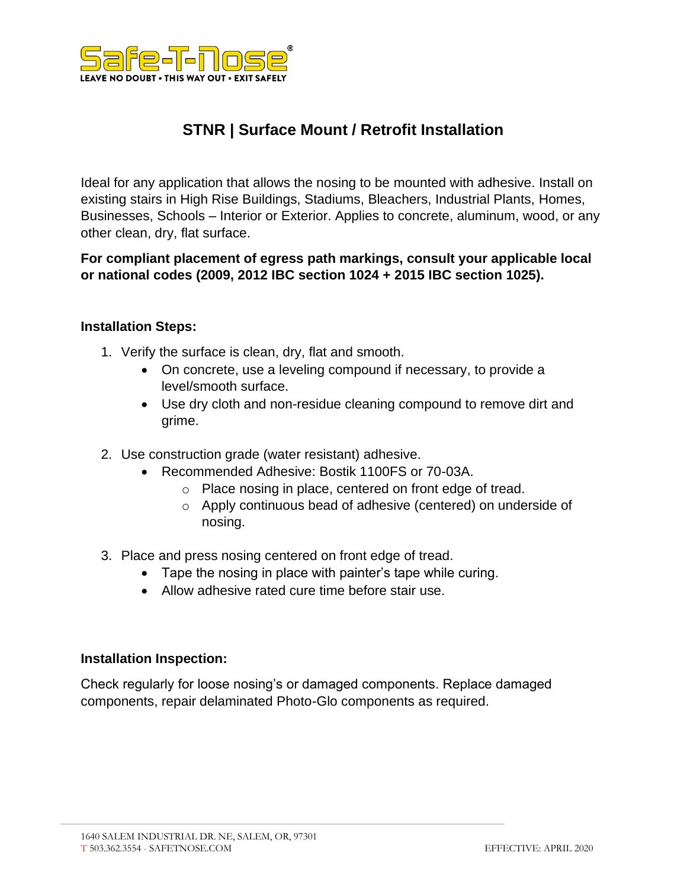

## **STNR | Surface Mount / Retrofit Installation**

Ideal for any application that allows the nosing to be mounted with adhesive. Install on existing stairs in High Rise Buildings, Stadiums, Bleachers, Industrial Plants, Homes, Businesses, Schools – Interior or Exterior. Applies to concrete, aluminum, wood, or any other clean, dry, flat surface.

**For compliant placement of egress path markings, consult your applicable local or national codes (2009, 2012 IBC section 1024 + 2015 IBC section 1025).**

## **Installation Steps:**

- 1. Verify the surface is clean, dry, flat and smooth.
	- On concrete, use a leveling compound if necessary, to provide a level/smooth surface.
	- Use dry cloth and non-residue cleaning compound to remove dirt and grime.
- 2. Use construction grade (water resistant) adhesive.
	- Recommended Adhesive: Bostik 1100FS or 70-03A.
		- o Place nosing in place, centered on front edge of tread.
		- o Apply continuous bead of adhesive (centered) on underside of nosing.
- 3. Place and press nosing centered on front edge of tread.
	- Tape the nosing in place with painter's tape while curing.
	- Allow adhesive rated cure time before stair use.

## **Installation Inspection:**

Check regularly for loose nosing's or damaged components. Replace damaged components, repair delaminated Photo-Glo components as required.